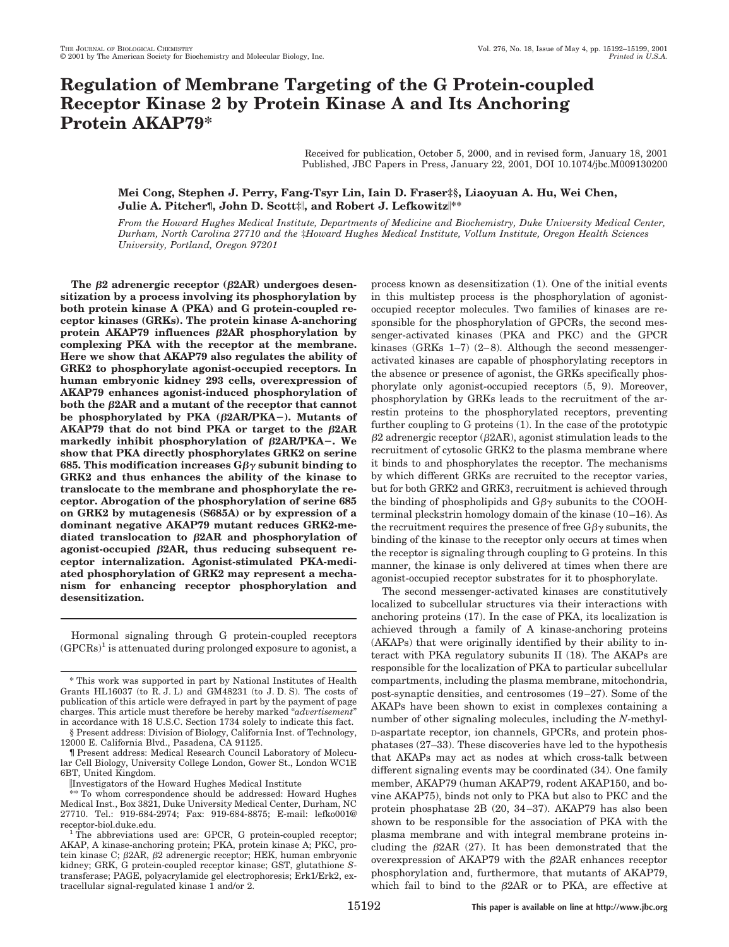# **Regulation of Membrane Targeting of the G Protein-coupled Receptor Kinase 2 by Protein Kinase A and Its Anchoring Protein AKAP79\***

Received for publication, October 5, 2000, and in revised form, January 18, 2001 Published, JBC Papers in Press, January 22, 2001, DOI 10.1074/jbc.M009130200

# **Mei Cong, Stephen J. Perry, Fang-Tsyr Lin, Iain D. Fraser‡§, Liaoyuan A. Hu, Wei Chen, Julie A. Pitcher¶, John D. Scott‡**i**, and Robert J. Lefkowitz**i**\*\***

*From the Howard Hughes Medical Institute, Departments of Medicine and Biochemistry, Duke University Medical Center, Durham, North Carolina 27710 and the* ‡*Howard Hughes Medical Institute, Vollum Institute, Oregon Health Sciences University, Portland, Oregon 97201*

The  $\beta$ 2 adrenergic receptor ( $\beta$ 2AR) undergoes desen**sitization by a process involving its phosphorylation by both protein kinase A (PKA) and G protein-coupled receptor kinases (GRKs). The protein kinase A-anchoring** protein  $AKAP79$  influences  $\beta$ 2AR phosphorylation by **complexing PKA with the receptor at the membrane. Here we show that AKAP79 also regulates the ability of GRK2 to phosphorylate agonist-occupied receptors. In human embryonic kidney 293 cells, overexpression of AKAP79 enhances agonist-induced phosphorylation of both the β2AR and a mutant of the receptor that cannot** be phosphorylated by PKA  $(\beta 2AR/PKA-)$ . Mutants of AKAP79 that do not bind PKA or target to the  $\beta$ 2AR **markedly inhibit phosphorylation of**  $\beta$ **2AR/PKA-. We show that PKA directly phosphorylates GRK2 on serine 685. This modification increases**  $G\beta\gamma$  **subunit binding to GRK2 and thus enhances the ability of the kinase to translocate to the membrane and phosphorylate the receptor. Abrogation of the phosphorylation of serine 685 on GRK2 by mutagenesis (S685A) or by expression of a dominant negative AKAP79 mutant reduces GRK2-me**diated translocation to  $\beta$ 2AR and phosphorylation of agonist-occupied  $\beta$ 2AR, thus reducing subsequent re**ceptor internalization. Agonist-stimulated PKA-mediated phosphorylation of GRK2 may represent a mechanism for enhancing receptor phosphorylation and desensitization.**

Hormonal signaling through G protein-coupled receptors  $(GPCRs)^1$  is attenuated during prolonged exposure to agonist, a

§ Present address: Division of Biology, California Inst. of Technology, 12000 E. California Blvd., Pasadena, CA 91125.

¶ Present address: Medical Research Council Laboratory of Molecular Cell Biology, University College London, Gower St., London WC1E 6BT, United Kingdom.

iInvestigators of the Howard Hughes Medical Institute

process known as desensitization (1). One of the initial events in this multistep process is the phosphorylation of agonistoccupied receptor molecules. Two families of kinases are responsible for the phosphorylation of GPCRs, the second messenger-activated kinases (PKA and PKC) and the GPCR kinases (GRKs 1–7) (2–8). Although the second messengeractivated kinases are capable of phosphorylating receptors in the absence or presence of agonist, the GRKs specifically phosphorylate only agonist-occupied receptors (5, 9). Moreover, phosphorylation by GRKs leads to the recruitment of the arrestin proteins to the phosphorylated receptors, preventing further coupling to G proteins (1). In the case of the prototypic  $\beta$ 2 adrenergic receptor ( $\beta$ 2AR), agonist stimulation leads to the recruitment of cytosolic GRK2 to the plasma membrane where it binds to and phosphorylates the receptor. The mechanisms by which different GRKs are recruited to the receptor varies, but for both GRK2 and GRK3, recruitment is achieved through the binding of phospholipids and  $G\beta\gamma$  subunits to the COOHterminal pleckstrin homology domain of the kinase (10–16). As the recruitment requires the presence of free  $G\beta\gamma$  subunits, the binding of the kinase to the receptor only occurs at times when the receptor is signaling through coupling to G proteins. In this manner, the kinase is only delivered at times when there are agonist-occupied receptor substrates for it to phosphorylate.

The second messenger-activated kinases are constitutively localized to subcellular structures via their interactions with anchoring proteins (17). In the case of PKA, its localization is achieved through a family of A kinase-anchoring proteins (AKAPs) that were originally identified by their ability to interact with PKA regulatory subunits II (18). The AKAPs are responsible for the localization of PKA to particular subcellular compartments, including the plasma membrane, mitochondria, post-synaptic densities, and centrosomes (19–27). Some of the AKAPs have been shown to exist in complexes containing a number of other signaling molecules, including the *N*-methyl-D-aspartate receptor, ion channels, GPCRs, and protein phosphatases (27–33). These discoveries have led to the hypothesis that AKAPs may act as nodes at which cross-talk between different signaling events may be coordinated (34). One family member, AKAP79 (human AKAP79, rodent AKAP150, and bovine AKAP75), binds not only to PKA but also to PKC and the protein phosphatase 2B (20, 34–37). AKAP79 has also been shown to be responsible for the association of PKA with the plasma membrane and with integral membrane proteins including the  $\beta$ 2AR (27). It has been demonstrated that the overexpression of AKAP79 with the  $\beta$ 2AR enhances receptor phosphorylation and, furthermore, that mutants of AKAP79, which fail to bind to the  $\beta$ 2AR or to PKA, are effective at

<sup>\*</sup> This work was supported in part by National Institutes of Health Grants HL16037 (to R. J. L) and GM48231 (to J. D. S). The costs of publication of this article were defrayed in part by the payment of page charges. This article must therefore be hereby marked "*advertisement*" in accordance with 18 U.S.C. Section 1734 solely to indicate this fact.

<sup>\*\*</sup> To whom correspondence should be addressed: Howard Hughes Medical Inst., Box 3821, Duke University Medical Center, Durham, NC 27710. Tel.: 919-684-2974; Fax: 919-684-8875; E-mail: lefko001@ receptor-biol.duke.edu.<br><sup>1</sup> The abbreviations used are: GPCR, G protein-coupled receptor;

AKAP, A kinase-anchoring protein; PKA, protein kinase A; PKC, protein kinase C;  $\beta$ 2AR,  $\beta$ 2 adrenergic receptor; HEK, human embryonic kidney; GRK, G protein-coupled receptor kinase; GST, glutathione *S*transferase; PAGE, polyacrylamide gel electrophoresis; Erk1/Erk2, extracellular signal-regulated kinase 1 and/or 2.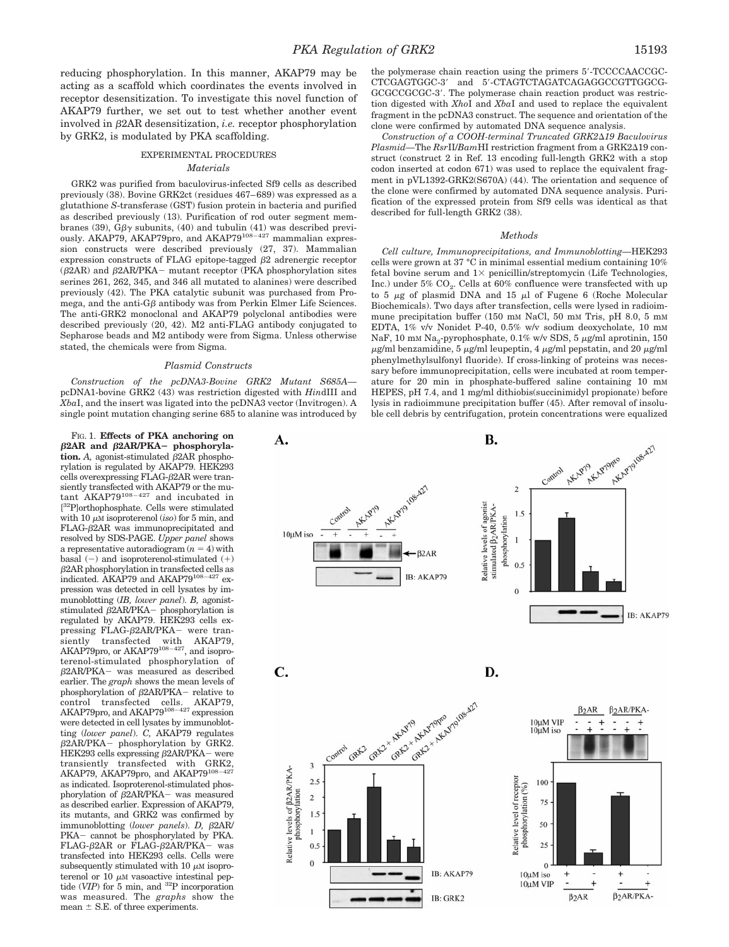reducing phosphorylation. In this manner, AKAP79 may be acting as a scaffold which coordinates the events involved in receptor desensitization. To investigate this novel function of AKAP79 further, we set out to test whether another event involved in b2AR desensitization, *i.e.* receptor phosphorylation by GRK2, is modulated by PKA scaffolding.

# EXPERIMENTAL PROCEDURES *Materials*

GRK2 was purified from baculovirus-infected Sf9 cells as described previously (38). Bovine GRK2ct (residues 467–689) was expressed as a glutathione *S*-transferase (GST) fusion protein in bacteria and purified as described previously (13). Purification of rod outer segment membranes (39),  $G\beta\gamma$  subunits, (40) and tubulin (41) was described previously. AKAP79, AKAP79pro, and AKAP79<sup>108-427</sup> mammalian expression constructs were described previously (27, 37). Mammalian expression constructs of FLAG epitope-tagged  $\beta$ 2 adrenergic receptor  $(\beta 2AR)$  and  $\beta 2AR/PKA$  mutant receptor (PKA phosphorylation sites serines 261, 262, 345, and 346 all mutated to alanines) were described previously (42). The PKA catalytic subunit was purchased from Promega, and the anti- $G\beta$  antibody was from Perkin Elmer Life Sciences. The anti-GRK2 monoclonal and AKAP79 polyclonal antibodies were described previously (20, 42). M2 anti-FLAG antibody conjugated to Sepharose beads and M2 antibody were from Sigma. Unless otherwise stated, the chemicals were from Sigma.

### *Plasmid Constructs*

*Construction of the pcDNA3-Bovine GRK2 Mutant S685A* pcDNA1-bovine GRK2 (43) was restriction digested with *Hin*dIII and *Xba*I, and the insert was ligated into the pcDNA3 vector (Invitrogen). A single point mutation changing serine 685 to alanine was introduced by

FIG. 1. **Effects of PKA anchoring on** β2AR and β2AR/PKA- phosphoryla- $$ rylation is regulated by AKAP79. HEK293 cells over $exp$ ressing FLAG- $\beta$ 2AR were transiently transfected with AKAP79 or the mutant AKAP79108–427 and incubated in [ 32P]orthophosphate. Cells were stimulated with 10  $\mu$ M isoproterenol (*iso*) for 5 min, and  $FLAG- $\beta$ 2AR was immunoprecipitated and$ resolved by SDS-PAGE. *Upper panel* shows a representative autoradiogram  $(n = 4)$  with basal  $(-)$  and isoproterenol-stimulated  $(+)$  $\beta$ 2AR phosphorylation in transfected cells as indicated. AKAP79 and AKAP79<sup>108-427</sup> expression was detected in cell lysates by immunoblotting (*IB, lower panel*). *B,* agoniststimulated  $\beta$ 2AR/PKA - phosphorylation is regulated by AKAP79. HEK293 cells expressing FLAG- $\beta$ 2AR/PKA- were transiently transfected with AKAP79,<br>AKAP79pro, or AKAP79<sup>108–427</sup>, and isoproterenol-stimulated phosphorylation of  $\beta$ 2AR/PKA- was measured as described earlier. The *graph* shows the mean levels of phosphorylation of  $\beta$ 2AR/PKA- relative to control transfected cells. AKAP79,<br>AKAP79pro, and AKAP79<sup>108–427</sup> expression were detected in cell lysates by immunoblotting (*lower panel*). *C,* AKAP79 regulates  $\beta$ 2AR/PKA - phosphorylation by GRK2. HEK293 cells expressing  $\beta$ 2AR/PKA- were transiently transfected with GRK2, AKAP79, AKAP79pro, and AKAP79<sup>108-4</sup> as indicated. Isoproterenol-stimulated phosphorylation of  $\beta$ 2AR/PKA- was measured as described earlier. Expression of AKAP79, its mutants, and GRK2 was confirmed by immunoblotting (lower panels). D,  $\beta$ 2AR/ PKA- cannot be phosphorylated by PKA. FLAG- $\beta$ 2AR or FLAG- $\beta$ 2AR/PKA- was transfected into HEK293 cells. Cells were subsequently stimulated with 10  $\mu$ M isoproterenol or 10  $\mu$ M vasoactive intestinal peptide (*VIP*) for 5 min, and 32P incorporation was measured. The *graphs* show the mean  $\pm$  S.E. of three experiments.

the polymerase chain reaction using the primers 5'-TCCCCAACCGC-CTCGAGTGGC-3' and 5'-CTAGTCTAGATCAGAGGCCGTTGGCG-GCGCCGCGC-3'. The polymerase chain reaction product was restriction digested with *Xho*I and *Xba*I and used to replace the equivalent fragment in the pcDNA3 construct. The sequence and orientation of the clone were confirmed by automated DNA sequence analysis.

*Construction of a COOH-terminal Truncated GRK2*D*19 Baculovirus*  $Plasmid$ —The  $Rsr$ II/*Bam*HI restriction fragment from a GRK2 $\Delta$ 19 construct (construct 2 in Ref. 13 encoding full-length GRK2 with a stop codon inserted at codon 671) was used to replace the equivalent fragment in pVL1392-GRK2(S670A) (44). The orientation and sequence of the clone were confirmed by automated DNA sequence analysis. Purification of the expressed protein from Sf9 cells was identical as that described for full-length GRK2 (38).

#### *Methods*

*Cell culture, Immunoprecipitations, and Immunoblotting—*HEK293 cells were grown at 37 °C in minimal essential medium containing 10% fetal bovine serum and  $1 \times$  penicillin/streptomycin (Life Technologies, Inc.) under  $5\%$  CO<sub>2</sub>. Cells at  $60\%$  confluence were transfected with up to 5  $\mu$ g of plasmid DNA and 15  $\mu$ l of Fugene 6 (Roche Molecular Biochemicals). Two days after transfection, cells were lysed in radioimmune precipitation buffer (150 mM NaCl, 50 mM Tris, pH 8.0, 5 mM EDTA, 1% v/v Nonidet P-40, 0.5% w/v sodium deoxycholate, 10 mM NaF, 10 mM Na<sub>2</sub>-pyrophosphate,  $0.1\%$  w/v SDS, 5  $\mu$ g/ml aprotinin, 150  $\mu$ g/ml benzamidine, 5  $\mu$ g/ml leupeptin, 4  $\mu$ g/ml pepstatin, and 20  $\mu$ g/ml phenylmethylsulfonyl fluoride). If cross-linking of proteins was necessary before immunoprecipitation, cells were incubated at room temperature for 20 min in phosphate-buffered saline containing 10 mM HEPES, pH 7.4, and 1 mg/ml dithiobis(succinimidyl propionate) before lysis in radioimmune precipitation buffer (45). After removal of insoluble cell debris by centrifugation, protein concentrations were equalized

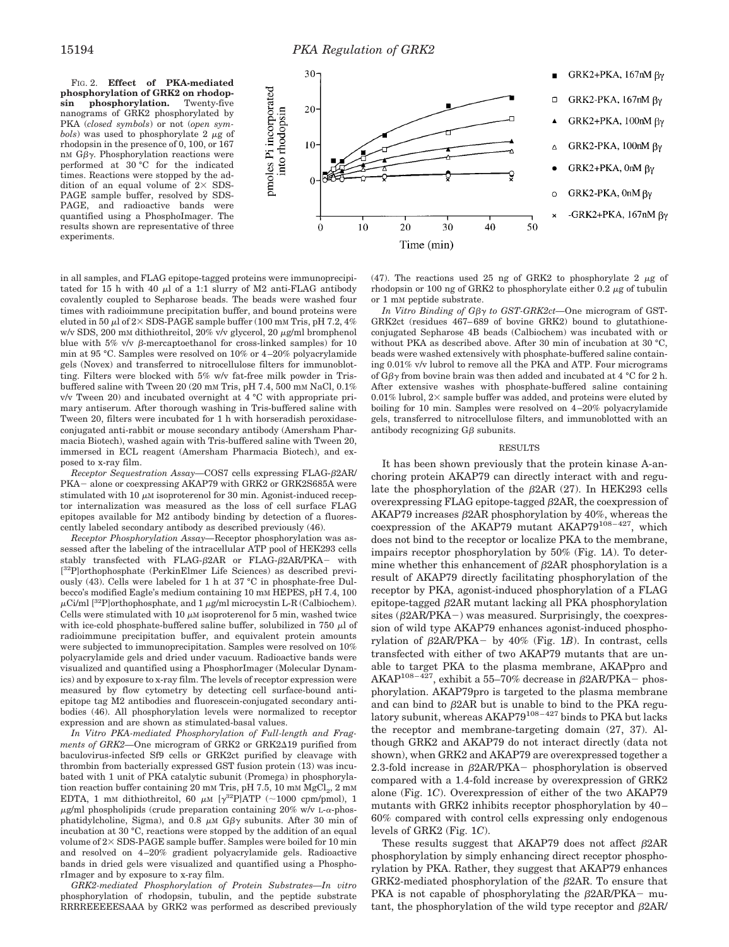FIG. 2. **Effect of PKA-mediated phosphorylation of GRK2 on rhodopsin phosphorylation.** Twenty-five nanograms of GRK2 phosphorylated by PKA (*closed symbols*) or not (*open sym* $bols$ ) was used to phosphorylate 2  $\mu$ g of rhodopsin in the presence of 0, 100, or 167 nM  $G\beta\gamma$ . Phosphorylation reactions were performed at 30 °C for the indicated times. Reactions were stopped by the addition of an equal volume of  $2 \times$  SDS-PAGE sample buffer, resolved by SDS-PAGE, and radioactive bands were quantified using a PhosphoImager. The results shown are representative of three experiments.



in all samples, and FLAG epitope-tagged proteins were immunoprecipitated for 15 h with 40  $\mu$ l of a 1:1 slurry of M2 anti-FLAG antibody covalently coupled to Sepharose beads. The beads were washed four times with radioimmune precipitation buffer, and bound proteins were eluted in 50  $\mu$ l of 2 $\times$  SDS-PAGE sample buffer (100 mM Tris, pH 7.2, 4%) w/v SDS, 200 mM dithiothreitol, 20% v/v glycerol, 20 μg/ml bromphenol blue with 5% v/v  $\beta$ -mercaptoethanol for cross-linked samples) for 10 min at 95 °C. Samples were resolved on 10% or 4–20% polyacrylamide gels (Novex) and transferred to nitrocellulose filters for immunoblotting. Filters were blocked with 5% w/v fat-free milk powder in Trisbuffered saline with Tween 20 (20 mM Tris, pH 7.4, 500 mM NaCl, 0.1% v/v Tween 20) and incubated overnight at 4 °C with appropriate primary antiserum. After thorough washing in Tris-buffered saline with Tween 20, filters were incubated for 1 h with horseradish peroxidaseconjugated anti-rabbit or mouse secondary antibody (Amersham Pharmacia Biotech), washed again with Tris-buffered saline with Tween 20, immersed in ECL reagent (Amersham Pharmacia Biotech), and exposed to x-ray film.

*Receptor Sequestration Assay*—COS7 cells expressing FLAG- $\beta$ 2AR/ PKA – alone or coexpressing AKAP79 with GRK2 or GRK2S685A were stimulated with  $10 \mu$ M isoproterenol for  $30 \text{ min}$ . Agonist-induced receptor internalization was measured as the loss of cell surface FLAG epitopes available for M2 antibody binding by detection of a fluorescently labeled secondary antibody as described previously (46).

*Receptor Phosphorylation Assay—*Receptor phosphorylation was assessed after the labeling of the intracellular ATP pool of HEK293 cells stably transfected with FLAG- $\beta$ 2AR or FLAG- $\beta$ 2AR/PKA- with [ 32P]orthophosphate (PerkinElmer Life Sciences) as described previously (43). Cells were labeled for 1 h at 37 °C in phosphate-free Dulbecco's modified Eagle's medium containing 10 mM HEPES, pH 7.4, 100  $\mu$ Ci/ml [<sup>32</sup>P]orthophosphate, and 1  $\mu$ g/ml microcystin L-R (Calbiochem). Cells were stimulated with 10  $\mu$ M isoproterenol for 5 min, washed twice with ice-cold phosphate-buffered saline buffer, solubilized in 750  $\mu$ l of radioimmune precipitation buffer, and equivalent protein amounts were subjected to immunoprecipitation. Samples were resolved on 10% polyacrylamide gels and dried under vacuum. Radioactive bands were visualized and quantified using a PhosphorImager (Molecular Dynamics) and by exposure to x-ray film. The levels of receptor expression were measured by flow cytometry by detecting cell surface-bound antiepitope tag M2 antibodies and fluorescein-conjugated secondary antibodies (46). All phosphorylation levels were normalized to receptor expression and are shown as stimulated-basal values.

*In Vitro PKA-mediated Phosphorylation of Full-length and Frag*ments of GRK2-One microgram of GRK2 or GRK2 $\Delta$ 19 purified from baculovirus-infected Sf9 cells or GRK2ct purified by cleavage with thrombin from bacterially expressed GST fusion protein (13) was incubated with 1 unit of PKA catalytic subunit (Promega) in phosphorylation reaction buffer containing 20 mm Tris, pH 7.5, 10 mm  $MgCl<sub>2</sub>$ , 2 mm EDTA, 1 mM dithiothreitol, 60  $\mu$ M [ $\gamma^{32}$ P]ATP (~1000 cpm/pmol), 1  $\mu$ g/ml phospholipids (crude preparation containing 20% w/v L- $\alpha$ -phosphatidylcholine, Sigma), and 0.8  $\mu$ M G $\beta\gamma$  subunits. After 30 min of incubation at 30 °C, reactions were stopped by the addition of an equal volume of  $2\times$  SDS-PAGE sample buffer. Samples were boiled for 10 min and resolved on 4–20% gradient polyacrylamide gels. Radioactive bands in dried gels were visualized and quantified using a PhosphorImager and by exposure to x-ray film.

*GRK2-mediated Phosphorylation of Protein Substrates—In vitro* phosphorylation of rhodopsin, tubulin, and the peptide substrate RRRREEEEESAAA by GRK2 was performed as described previously (47). The reactions used 25 ng of GRK2 to phosphorylate 2  $\mu$ g of rhodopsin or 100 ng of GRK2 to phosphorylate either  $0.2 \mu$ g of tubulin or 1 mM peptide substrate.

*In Vitro Binding of Gβγ to GST-GRK2ct*—One microgram of GST-GRK2ct (residues 467–689 of bovine GRK2) bound to glutathioneconjugated Sepharose 4B beads (Calbiochem) was incubated with or without PKA as described above. After 30 min of incubation at 30 °C, beads were washed extensively with phosphate-buffered saline containing 0.01% v/v lubrol to remove all the PKA and ATP. Four micrograms of  $G\beta\gamma$  from bovine brain was then added and incubated at 4 °C for 2 h. After extensive washes with phosphate-buffered saline containing 0.01% lubrol,  $2 \times$  sample buffer was added, and proteins were eluted by boiling for 10 min. Samples were resolved on 4–20% polyacrylamide gels, transferred to nitrocellulose filters, and immunoblotted with an antibody recognizing  $G\beta$  subunits.

## RESULTS

It has been shown previously that the protein kinase A-anchoring protein AKAP79 can directly interact with and regulate the phosphorylation of the  $\beta$ 2AR (27). In HEK293 cells overexpressing FLAG epitope-tagged  $\beta$ 2AR, the coexpression of AKAP79 increases  $\beta$ 2AR phosphorylation by 40%, whereas the coexpression of the AKAP79 mutant AKAP79<sup>108-427</sup>, which does not bind to the receptor or localize PKA to the membrane, impairs receptor phosphorylation by 50% (Fig. 1*A*). To determine whether this enhancement of  $\beta$ 2AR phosphorylation is a result of AKAP79 directly facilitating phosphorylation of the receptor by PKA, agonist-induced phosphorylation of a FLAG epitope-tagged  $\beta$ 2AR mutant lacking all PKA phosphorylation sites  $(\beta 2AR/PKA-)$  was measured. Surprisingly, the coexpression of wild type AKAP79 enhances agonist-induced phosphorylation of  $\beta$ 2AR/PKA - by 40% (Fig. 1*B*). In contrast, cells transfected with either of two AKAP79 mutants that are unable to target PKA to the plasma membrane, AKAPpro and AKAP<sup>108–427</sup>, exhibit a 55–70% decrease in  $\beta$ 2AR/PKA- phosphorylation. AKAP79pro is targeted to the plasma membrane and can bind to  $\beta$ 2AR but is unable to bind to the PKA regulatory subunit, whereas AKAP79<sup>108-427</sup> binds to PKA but lacks the receptor and membrane-targeting domain (27, 37). Although GRK2 and AKAP79 do not interact directly (data not shown), when GRK2 and AKAP79 are overexpressed together a 2.3-fold increase in  $\beta$ 2AR/PKA - phosphorylation is observed compared with a 1.4-fold increase by overexpression of GRK2 alone (Fig. 1*C*). Overexpression of either of the two AKAP79 mutants with GRK2 inhibits receptor phosphorylation by 40– 60% compared with control cells expressing only endogenous levels of GRK2 (Fig. 1*C*).

These results suggest that  $AKAP79$  does not affect  $\beta$ 2AR phosphorylation by simply enhancing direct receptor phosphorylation by PKA. Rather, they suggest that AKAP79 enhances  $GRK2-mediated phosphorylation of the  $\beta$ 2AR. To ensure that$ PKA is not capable of phosphorylating the  $\beta$ 2AR/PKA- mutant, the phosphorylation of the wild type receptor and  $B2AR/$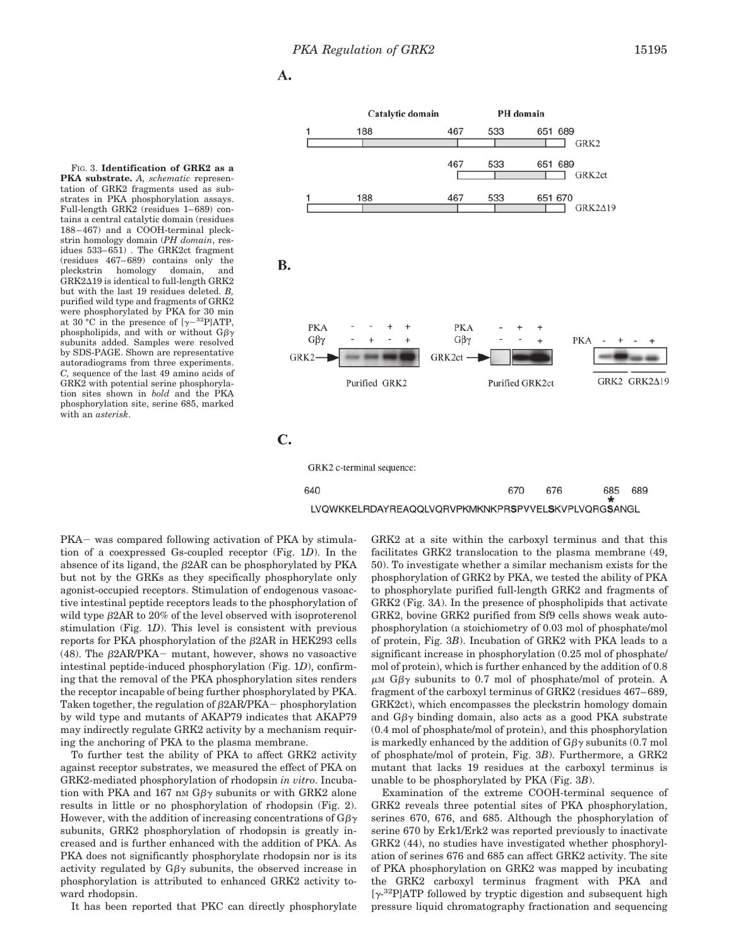A.

FIG. 3. **Identification of GRK2 as a PKA substrate.** *A, schematic* representation of GRK2 fragments used as substrates in PKA phosphorylation assays. Full-length GRK2 (residues 1–689) contains a central catalytic domain (residues 188–467) and a COOH-terminal pleckstrin homology domain (*PH domain*, residues 533–651) . The GRK2ct fragment (residues 467–689) contains only the homology domain, and  $GRK2\Delta19$  is identical to full-length  $GRK2$ but with the last 19 residues deleted. *B,* purified wild type and fragments of GRK2 were phosphorylated by PKA for 30 min at 30 °C in the presence of [ $\gamma$ <sup>-32</sup>P]ATP, phospholipids, and with or without  $G\beta\gamma$ subunits added. Samples were resolved by SDS-PAGE. Shown are representative autoradiograms from three experiments. *C,* sequence of the last 49 amino acids of GRK2 with potential serine phosphorylation sites shown in *bold* and the PKA phosphorylation site, serine 685, marked with an *asterisk*.



PKA- was compared following activation of PKA by stimulation of a coexpressed Gs-coupled receptor (Fig. 1*D*). In the absence of its ligand, the  $\beta$ 2AR can be phosphorylated by PKA but not by the GRKs as they specifically phosphorylate only agonist-occupied receptors. Stimulation of endogenous vasoactive intestinal peptide receptors leads to the phosphorylation of wild type  $\beta$ 2AR to 20% of the level observed with isoproterenol stimulation (Fig. 1*D*). This level is consistent with previous reports for PKA phosphorylation of the  $\beta$ 2AR in HEK293 cells (48). The  $\beta$ 2AR/PKA – mutant, however, shows no vasoactive intestinal peptide-induced phosphorylation (Fig. 1*D*), confirming that the removal of the PKA phosphorylation sites renders the receptor incapable of being further phosphorylated by PKA. Taken together, the regulation of  $\beta$ 2AR/PKA - phosphorylation by wild type and mutants of AKAP79 indicates that AKAP79 may indirectly regulate GRK2 activity by a mechanism requiring the anchoring of PKA to the plasma membrane.

To further test the ability of PKA to affect GRK2 activity against receptor substrates, we measured the effect of PKA on GRK2-mediated phosphorylation of rhodopsin *in vitro*. Incubation with PKA and 167 nm  $G\beta\gamma$  subunits or with GRK2 alone results in little or no phosphorylation of rhodopsin (Fig. 2). However, with the addition of increasing concentrations of  $G\beta\gamma$ subunits, GRK2 phosphorylation of rhodopsin is greatly increased and is further enhanced with the addition of PKA. As PKA does not significantly phosphorylate rhodopsin nor is its activity regulated by  $G\beta\gamma$  subunits, the observed increase in phosphorylation is attributed to enhanced GRK2 activity toward rhodopsin.

It has been reported that PKC can directly phosphorylate

GRK2 at a site within the carboxyl terminus and that this facilitates GRK2 translocation to the plasma membrane (49, 50). To investigate whether a similar mechanism exists for the phosphorylation of GRK2 by PKA, we tested the ability of PKA to phosphorylate purified full-length GRK2 and fragments of GRK2 (Fig. 3*A*). In the presence of phospholipids that activate GRK2, bovine GRK2 purified from Sf9 cells shows weak autophosphorylation (a stoichiometry of 0.03 mol of phosphate/mol of protein, Fig. 3*B*). Incubation of GRK2 with PKA leads to a significant increase in phosphorylation (0.25 mol of phosphate/ mol of protein), which is further enhanced by the addition of 0.8  $\mu$ M G $\beta\gamma$  subunits to 0.7 mol of phosphate/mol of protein. A fragment of the carboxyl terminus of GRK2 (residues 467–689, GRK2ct), which encompasses the pleckstrin homology domain and  $G\beta\gamma$  binding domain, also acts as a good PKA substrate (0.4 mol of phosphate/mol of protein), and this phosphorylation is markedly enhanced by the addition of  $G\beta\gamma$  subunits (0.7 mol of phosphate/mol of protein, Fig. 3*B*). Furthermore, a GRK2 mutant that lacks 19 residues at the carboxyl terminus is unable to be phosphorylated by PKA (Fig. 3*B*).

Examination of the extreme COOH-terminal sequence of GRK2 reveals three potential sites of PKA phosphorylation, serines 670, 676, and 685. Although the phosphorylation of serine 670 by Erk1/Erk2 was reported previously to inactivate GRK2 (44), no studies have investigated whether phosphorylation of serines 676 and 685 can affect GRK2 activity. The site of PKA phosphorylation on GRK2 was mapped by incubating the GRK2 carboxyl terminus fragment with PKA and  $[\gamma^{32}P]$ ATP followed by tryptic digestion and subsequent high pressure liquid chromatography fractionation and sequencing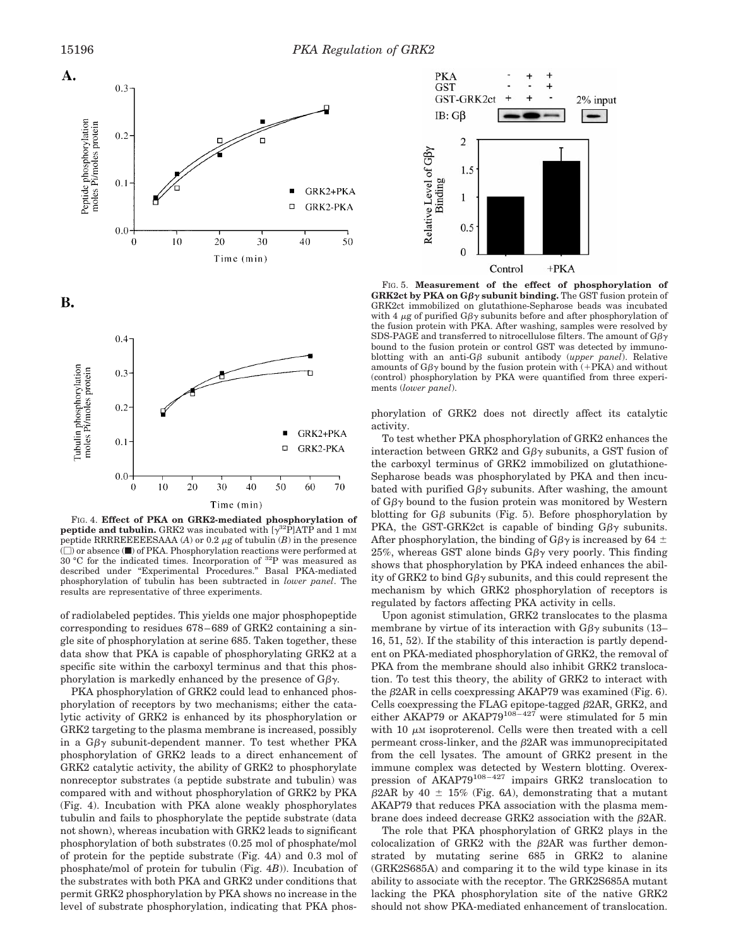

FIG. 4. **Effect of PKA on GRK2-mediated phosphorylation of peptide and tubulin.** GRK2 was incubated with  $[\gamma^{32}P]$ ATP and 1 mM peptide RRRREEEESAAA ( $A$ ) or 0.2  $\mu$ g of tubulin ( $B$ ) in the presence  $(\square)$  or absence  $(\blacksquare)$  of PKA. Phosphorylation reactions were performed at 30 °C for the indicated times. Incorporation of 32P was measured as described under "Experimental Procedures." Basal PKA-mediated phosphorylation of tubulin has been subtracted in *lower panel*. The results are representative of three experiments.

of radiolabeled peptides. This yields one major phosphopeptide corresponding to residues 678–689 of GRK2 containing a single site of phosphorylation at serine 685. Taken together, these data show that PKA is capable of phosphorylating GRK2 at a specific site within the carboxyl terminus and that this phosphorylation is markedly enhanced by the presence of  $G\beta\gamma$ .

PKA phosphorylation of GRK2 could lead to enhanced phosphorylation of receptors by two mechanisms; either the catalytic activity of GRK2 is enhanced by its phosphorylation or GRK2 targeting to the plasma membrane is increased, possibly in a  $G\beta\gamma$  subunit-dependent manner. To test whether PKA phosphorylation of GRK2 leads to a direct enhancement of GRK2 catalytic activity, the ability of GRK2 to phosphorylate nonreceptor substrates (a peptide substrate and tubulin) was compared with and without phosphorylation of GRK2 by PKA (Fig. 4). Incubation with PKA alone weakly phosphorylates tubulin and fails to phosphorylate the peptide substrate (data not shown), whereas incubation with GRK2 leads to significant phosphorylation of both substrates (0.25 mol of phosphate/mol of protein for the peptide substrate (Fig. 4*A*) and 0.3 mol of phosphate/mol of protein for tubulin (Fig. 4*B*)). Incubation of the substrates with both PKA and GRK2 under conditions that permit GRK2 phosphorylation by PKA shows no increase in the level of substrate phosphorylation, indicating that PKA phos-



FIG. 5. **Measurement of the effect of phosphorylation of GRK2ct by PKA on**  $G\beta\gamma$  **subunit binding.** The GST fusion protein of GRK2ct immobilized on glutathione-Sepharose beads was incubated with 4  $\mu$ g of purified G $\beta\gamma$  subunits before and after phosphorylation of the fusion protein with PKA. After washing, samples were resolved by SDS-PAGE and transferred to nitrocellulose filters. The amount of  $G\beta\gamma$ bound to the fusion protein or control GST was detected by immunoblotting with an anti- $G\beta$  subunit antibody *(upper panel)*. Relative amounts of  $G\beta\gamma$  bound by the fusion protein with (+PKA) and without (control) phosphorylation by PKA were quantified from three experiments (*lower panel*).

phorylation of GRK2 does not directly affect its catalytic activity.

To test whether PKA phosphorylation of GRK2 enhances the interaction between GRK2 and G $\beta\gamma$  subunits, a GST fusion of the carboxyl terminus of GRK2 immobilized on glutathione-Sepharose beads was phosphorylated by PKA and then incubated with purified  $G\beta\gamma$  subunits. After washing, the amount of  $G\beta\gamma$  bound to the fusion protein was monitored by Western blotting for  $G\beta$  subunits (Fig. 5). Before phosphorylation by PKA, the GST-GRK2ct is capable of binding  $G\beta\gamma$  subunits. After phosphorylation, the binding of G $\beta\gamma$  is increased by 64  $\pm$ 25%, whereas GST alone binds  $G\beta\gamma$  very poorly. This finding shows that phosphorylation by PKA indeed enhances the ability of GRK2 to bind  $G\beta\gamma$  subunits, and this could represent the mechanism by which GRK2 phosphorylation of receptors is regulated by factors affecting PKA activity in cells.

Upon agonist stimulation, GRK2 translocates to the plasma membrane by virtue of its interaction with  $G\beta\gamma$  subunits (13– 16, 51, 52). If the stability of this interaction is partly dependent on PKA-mediated phosphorylation of GRK2, the removal of PKA from the membrane should also inhibit GRK2 translocation. To test this theory, the ability of GRK2 to interact with the  $\beta$ 2AR in cells coexpressing AKAP79 was examined (Fig. 6). Cells coexpressing the FLAG epitope-tagged  $\beta$ 2AR, GRK2, and either AKAP79 or AKAP79<sup>108-427</sup> were stimulated for 5 min with 10  $\mu$ M isoproterenol. Cells were then treated with a cell permeant cross-linker, and the  $\beta$ 2AR was immunoprecipitated from the cell lysates. The amount of GRK2 present in the immune complex was detected by Western blotting. Overexpression of AKAP79<sup>108–427</sup> impairs GRK2 translocation to  $\beta$ 2AR by 40  $\pm$  15% (Fig. 6*A*), demonstrating that a mutant AKAP79 that reduces PKA association with the plasma membrane does indeed decrease GRK2 association with the  $\beta$ 2AR.

The role that PKA phosphorylation of GRK2 plays in the colocalization of GRK2 with the  $\beta$ 2AR was further demonstrated by mutating serine 685 in GRK2 to alanine (GRK2S685A) and comparing it to the wild type kinase in its ability to associate with the receptor. The GRK2S685A mutant lacking the PKA phosphorylation site of the native GRK2 should not show PKA-mediated enhancement of translocation.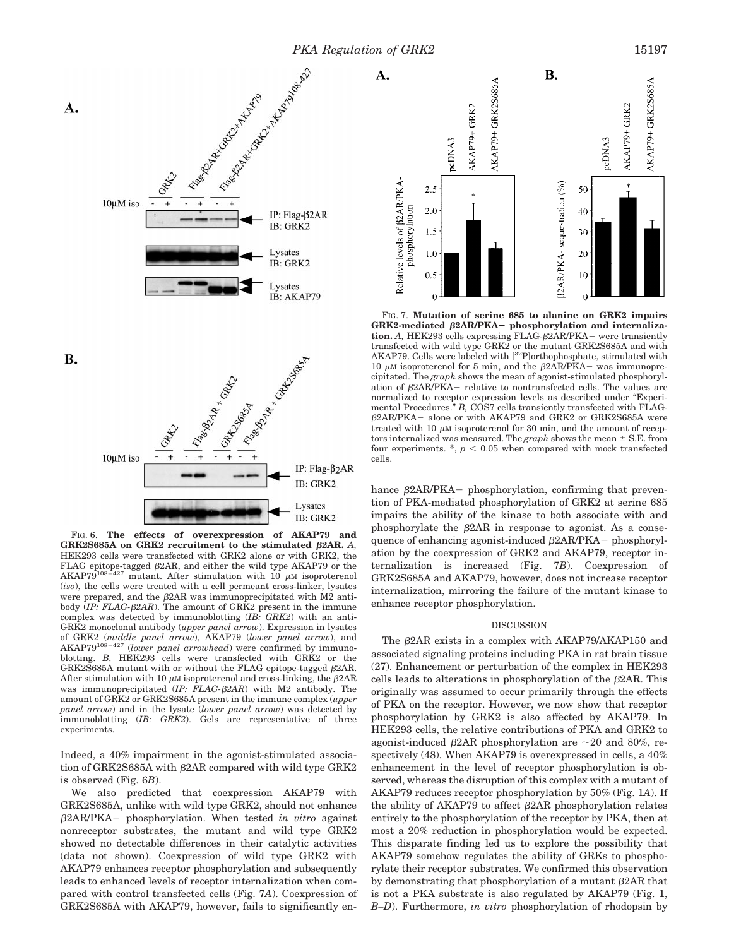

FIG. 6. **The effects of overexpression of AKAP79 and** GRK2S685A on GRK2 recruitment to the stimulated  $\beta$ 2AR. *A,* HEK293 cells were transfected with GRK2 alone or with GRK2, the FLAG epitope-tagged  $\beta$ 2AR, and either the wild type AKAP79 or the AKAP79<sup>108–427</sup> mutant. After stimulation with 10  $\mu$ M isoproterenol (*iso*), the cells were treated with a cell permeant cross-linker, lysates were prepared, and the  $\beta$ 2AR was immunoprecipitated with M2 antibody (*IP: FLAG-β2AR*). The amount of GRK2 present in the immune complex was detected by immunoblotting (*IB: GRK2*) with an anti-GRK2 monoclonal antibody (*upper panel arrow*). Expression in lysates of GRK2 (*middle panel arrow*), AKAP79 (*lower panel arrow*), and AKAP79108–427 (*lower panel arrowhead*) were confirmed by immunoblotting. *B,* HEK293 cells were transfected with GRK2 or the GRK2S685A mutant with or without the FLAG epitope-tagged  $\beta$ 2AR. After stimulation with 10  $\mu$ M isoproterenol and cross-linking, the  $\beta$ 2AR was immunoprecipitated (*IP: FLAG-* $\beta$ *2AR*) with M2 antibody. The amount of GRK2 or GRK2S685A present in the immune complex (*upper panel arrow*) and in the lysate (*lower panel arrow*) was detected by immunoblotting (*IB: GRK2*). Gels are representative of three experiments.

Indeed, a 40% impairment in the agonist-stimulated association of GRK2S685A with  $\beta$ 2AR compared with wild type GRK2 is observed (Fig. 6*B*).

We also predicted that coexpression AKAP79 with GRK2S685A, unlike with wild type GRK2, should not enhance b2AR/PKA2 phosphorylation. When tested *in vitro* against nonreceptor substrates, the mutant and wild type GRK2 showed no detectable differences in their catalytic activities (data not shown). Coexpression of wild type GRK2 with AKAP79 enhances receptor phosphorylation and subsequently leads to enhanced levels of receptor internalization when compared with control transfected cells (Fig. 7*A*). Coexpression of GRK2S685A with AKAP79, however, fails to significantly en-



FIG. 7. **Mutation of serine 685 to alanine on GRK2 impairs** GRK2-mediated  $\beta$ 2AR/PKA- phosphorylation and internaliza $tion. A$ , HEK293 cells expressing FLAG- $\beta$ 2AR/PKA – were transiently transfected with wild type GRK2 or the mutant GRK2S685A and with AKAP79. Cells were labeled with [32P]orthophosphate, stimulated with 10  $\mu$ M isoproterenol for 5 min, and the  $\beta$ 2AR/PKA- was immunoprecipitated. The *graph* shows the mean of agonist-stimulated phosphorylation of  $\beta$ 2AR/PKA – relative to nontransfected cells. The values are normalized to receptor expression levels as described under "Experimental Procedures." *B,* COS7 cells transiently transfected with FLAG- $\beta$ 2AR/PKA- alone or with AKAP79 and GRK2 or GRK2S685A were treated with 10  $\mu$ M isoproterenol for 30 min, and the amount of receptors internalized was measured. The  $graph$  shows the mean  $\pm$  S.E. from four experiments.  $\ast$ ,  $p < 0.05$  when compared with mock transfected cells.

hance  $\beta$ 2AR/PKA- phosphorylation, confirming that prevention of PKA-mediated phosphorylation of GRK2 at serine 685 impairs the ability of the kinase to both associate with and phosphorylate the  $\beta$ 2AR in response to agonist. As a consequence of enhancing agonist-induced  $\beta$ 2AR/PKA - phosphorylation by the coexpression of GRK2 and AKAP79, receptor internalization is increased (Fig. 7*B*). Coexpression of GRK2S685A and AKAP79, however, does not increase receptor internalization, mirroring the failure of the mutant kinase to enhance receptor phosphorylation.

## DISCUSSION

The  $\beta$ 2AR exists in a complex with AKAP79/AKAP150 and associated signaling proteins including PKA in rat brain tissue (27). Enhancement or perturbation of the complex in HEK293 cells leads to alterations in phosphorylation of the  $\beta$ 2AR. This originally was assumed to occur primarily through the effects of PKA on the receptor. However, we now show that receptor phosphorylation by GRK2 is also affected by AKAP79. In HEK293 cells, the relative contributions of PKA and GRK2 to agonist-induced  $\beta$ 2AR phosphorylation are ~20 and 80%, respectively (48). When AKAP79 is overexpressed in cells, a  $40\%$ enhancement in the level of receptor phosphorylation is observed, whereas the disruption of this complex with a mutant of AKAP79 reduces receptor phosphorylation by 50% (Fig. 1*A*). If the ability of AKAP79 to affect  $\beta$ 2AR phosphorylation relates entirely to the phosphorylation of the receptor by PKA, then at most a 20% reduction in phosphorylation would be expected. This disparate finding led us to explore the possibility that AKAP79 somehow regulates the ability of GRKs to phosphorylate their receptor substrates. We confirmed this observation by demonstrating that phosphorylation of a mutant  $\beta$ 2AR that is not a PKA substrate is also regulated by AKAP79 (Fig. 1, *B–D*). Furthermore, *in vitro* phosphorylation of rhodopsin by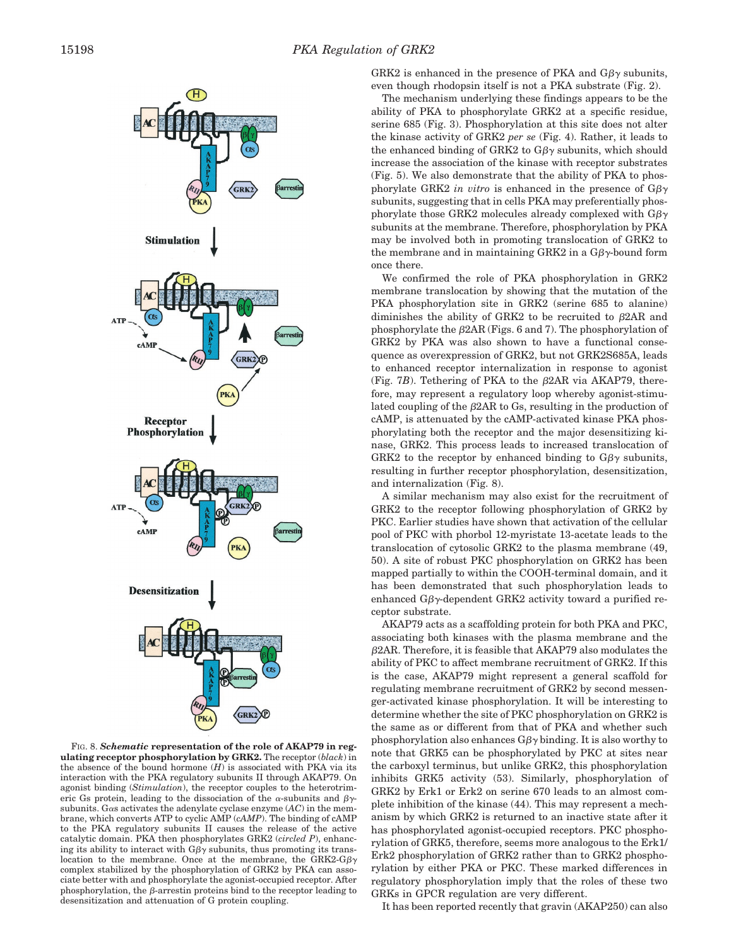

FIG. 8. *Schematic* **representation of the role of AKAP79 in regulating receptor phosphorylation by GRK2.** The receptor (*black*) in the absence of the bound hormone (*H*) is associated with PKA via its interaction with the PKA regulatory subunits II through AKAP79. On agonist binding (*Stimulation*), the receptor couples to the heterotrimeric Gs protein, leading to the dissociation of the  $\alpha$ -subunits and  $\beta\gamma$ subunits. Gas activates the adenylate cyclase enzyme  $(AC)$  in the membrane, which converts ATP to cyclic AMP (*cAMP*). The binding of cAMP to the PKA regulatory subunits II causes the release of the active catalytic domain. PKA then phosphorylates GRK2 (*circled P*), enhancing its ability to interact with  $G\beta\gamma$  subunits, thus promoting its translocation to the membrane. Once at the membrane, the GRK2-G $\beta\gamma$ complex stabilized by the phosphorylation of GRK2 by PKA can associate better with and phosphorylate the agonist-occupied receptor. After phosphorylation, the  $\beta$ -arrestin proteins bind to the receptor leading to desensitization and attenuation of G protein coupling.

GRK2 is enhanced in the presence of PKA and  $G\beta\gamma$  subunits, even though rhodopsin itself is not a PKA substrate (Fig. 2).

The mechanism underlying these findings appears to be the ability of PKA to phosphorylate GRK2 at a specific residue, serine 685 (Fig. 3). Phosphorylation at this site does not alter the kinase activity of GRK2 *per se* (Fig. 4). Rather, it leads to the enhanced binding of GRK2 to  $G\beta\gamma$  subunits, which should increase the association of the kinase with receptor substrates (Fig. 5). We also demonstrate that the ability of PKA to phosphorylate GRK2 *in vitro* is enhanced in the presence of  $G\beta\gamma$ subunits, suggesting that in cells PKA may preferentially phosphorylate those GRK2 molecules already complexed with  $G\beta\gamma$ subunits at the membrane. Therefore, phosphorylation by PKA may be involved both in promoting translocation of GRK2 to the membrane and in maintaining GRK2 in a  $G\beta\gamma$ -bound form once there.

We confirmed the role of PKA phosphorylation in GRK2 membrane translocation by showing that the mutation of the PKA phosphorylation site in GRK2 (serine 685 to alanine) diminishes the ability of GRK2 to be recruited to  $\beta$ 2AR and phosphorylate the  $\beta$ 2AR (Figs. 6 and 7). The phosphorylation of GRK2 by PKA was also shown to have a functional consequence as overexpression of GRK2, but not GRK2S685A, leads to enhanced receptor internalization in response to agonist (Fig.  $7B$ ). Tethering of PKA to the  $\beta$ 2AR via AKAP79, therefore, may represent a regulatory loop whereby agonist-stimulated coupling of the  $\beta$ 2AR to Gs, resulting in the production of cAMP, is attenuated by the cAMP-activated kinase PKA phosphorylating both the receptor and the major desensitizing kinase, GRK2. This process leads to increased translocation of GRK2 to the receptor by enhanced binding to  $G\beta\gamma$  subunits, resulting in further receptor phosphorylation, desensitization, and internalization (Fig. 8).

A similar mechanism may also exist for the recruitment of GRK2 to the receptor following phosphorylation of GRK2 by PKC. Earlier studies have shown that activation of the cellular pool of PKC with phorbol 12-myristate 13-acetate leads to the translocation of cytosolic GRK2 to the plasma membrane (49, 50). A site of robust PKC phosphorylation on GRK2 has been mapped partially to within the COOH-terminal domain, and it has been demonstrated that such phosphorylation leads to enhanced G $\beta\gamma$ -dependent GRK2 activity toward a purified receptor substrate.

AKAP79 acts as a scaffolding protein for both PKA and PKC, associating both kinases with the plasma membrane and the  $\beta$ 2AR. Therefore, it is feasible that AKAP79 also modulates the ability of PKC to affect membrane recruitment of GRK2. If this is the case, AKAP79 might represent a general scaffold for regulating membrane recruitment of GRK2 by second messenger-activated kinase phosphorylation. It will be interesting to determine whether the site of PKC phosphorylation on GRK2 is the same as or different from that of PKA and whether such phosphorylation also enhances  $G\beta\gamma$  binding. It is also worthy to note that GRK5 can be phosphorylated by PKC at sites near the carboxyl terminus, but unlike GRK2, this phosphorylation inhibits GRK5 activity (53). Similarly, phosphorylation of GRK2 by Erk1 or Erk2 on serine 670 leads to an almost complete inhibition of the kinase (44). This may represent a mechanism by which GRK2 is returned to an inactive state after it has phosphorylated agonist-occupied receptors. PKC phosphorylation of GRK5, therefore, seems more analogous to the Erk1/ Erk2 phosphorylation of GRK2 rather than to GRK2 phosphorylation by either PKA or PKC. These marked differences in regulatory phosphorylation imply that the roles of these two GRKs in GPCR regulation are very different.

It has been reported recently that gravin (AKAP250) can also